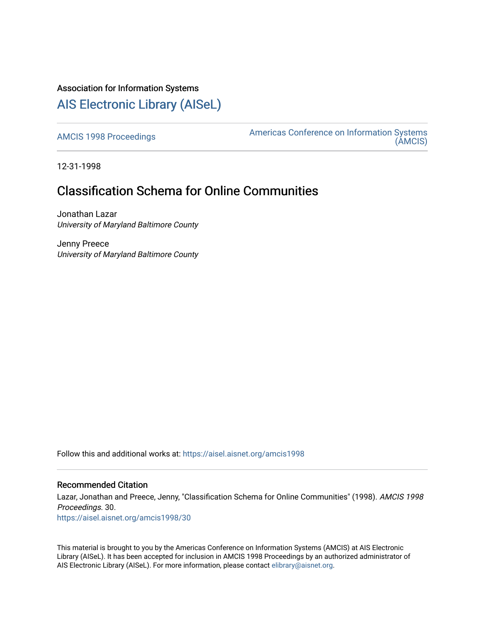# Association for Information Systems

# [AIS Electronic Library \(AISeL\)](https://aisel.aisnet.org/)

[AMCIS 1998 Proceedings](https://aisel.aisnet.org/amcis1998) **Americas Conference on Information Systems** [\(AMCIS\)](https://aisel.aisnet.org/amcis) 

12-31-1998

# Classification Schema for Online Communities

Jonathan Lazar University of Maryland Baltimore County

Jenny Preece University of Maryland Baltimore County

Follow this and additional works at: [https://aisel.aisnet.org/amcis1998](https://aisel.aisnet.org/amcis1998?utm_source=aisel.aisnet.org%2Famcis1998%2F30&utm_medium=PDF&utm_campaign=PDFCoverPages) 

## Recommended Citation

Lazar, Jonathan and Preece, Jenny, "Classification Schema for Online Communities" (1998). AMCIS 1998 Proceedings. 30. [https://aisel.aisnet.org/amcis1998/30](https://aisel.aisnet.org/amcis1998/30?utm_source=aisel.aisnet.org%2Famcis1998%2F30&utm_medium=PDF&utm_campaign=PDFCoverPages) 

This material is brought to you by the Americas Conference on Information Systems (AMCIS) at AIS Electronic Library (AISeL). It has been accepted for inclusion in AMCIS 1998 Proceedings by an authorized administrator of AIS Electronic Library (AISeL). For more information, please contact [elibrary@aisnet.org](mailto:elibrary@aisnet.org%3E).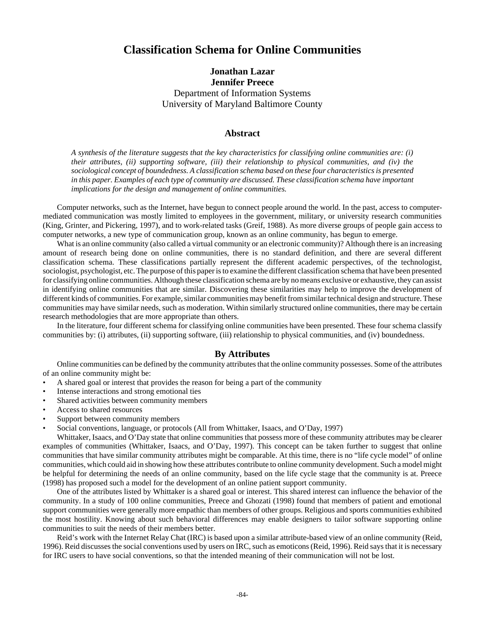# **Classification Schema for Online Communities**

## **Jonathan Lazar Jennifer Preece** Department of Information Systems University of Maryland Baltimore County

### **Abstract**

*A synthesis of the literature suggests that the key characteristics for classifying online communities are: (i) their attributes, (ii) supporting software, (iii) their relationship to physical communities, and (iv) the sociological concept of boundedness. A classification schema based on these four characteristics is presented in this paper. Examples of each type of community are discussed. These classification schema have important implications for the design and management of online communities.*

Computer networks, such as the Internet, have begun to connect people around the world. In the past, access to computermediated communication was mostly limited to employees in the government, military, or university research communities (King, Grinter, and Pickering, 1997), and to work-related tasks (Greif, 1988). As more diverse groups of people gain access to computer networks, a new type of communication group, known as an online community, has begun to emerge.

What is an online community (also called a virtual community or an electronic community)? Although there is an increasing amount of research being done on online communities, there is no standard definition, and there are several different classification schema. These classifications partially represent the different academic perspectives, of the technologist, sociologist, psychologist, etc. The purpose of this paper is to examine the different classification schema that have been presented for classifying online communities. Although these classification schema are by no means exclusive or exhaustive, they can assist in identifying online communities that are similar. Discovering these similarities may help to improve the development of different kinds of communities. For example, similar communities may benefit from similar technical design and structure. These communities may have similar needs, such as moderation. Within similarly structured online communities, there may be certain research methodologies that are more appropriate than others.

In the literature, four different schema for classifying online communities have been presented. These four schema classify communities by: (i) attributes, (ii) supporting software, (iii) relationship to physical communities, and (iv) boundedness.

## **By Attributes**

Online communities can be defined by the community attributes that the online community possesses. Some of the attributes of an online community might be:

- A shared goal or interest that provides the reason for being a part of the community
- Intense interactions and strong emotional ties
- Shared activities between community members
- Access to shared resources
- Support between community members
- Social conventions, language, or protocols (All from Whittaker, Isaacs, and O'Day, 1997)

Whittaker, Isaacs, and O'Day state that online communities that possess more of these community attributes may be clearer examples of communities (Whittaker, Isaacs, and O'Day, 1997). This concept can be taken further to suggest that online communities that have similar community attributes might be comparable. At this time, there is no "life cycle model" of online communities, which could aid in showing how these attributes contribute to online community development. Such a model might be helpful for determining the needs of an online community, based on the life cycle stage that the community is at. Preece (1998) has proposed such a model for the development of an online patient support community.

One of the attributes listed by Whittaker is a shared goal or interest. This shared interest can influence the behavior of the community. In a study of 100 online communities, Preece and Ghozati (1998) found that members of patient and emotional support communities were generally more empathic than members of other groups. Religious and sports communities exhibited the most hostility. Knowing about such behavioral differences may enable designers to tailor software supporting online communities to suit the needs of their members better.

Reid's work with the Internet Relay Chat (IRC) is based upon a similar attribute-based view of an online community (Reid, 1996). Reid discusses the social conventions used by users on IRC, such as emoticons (Reid, 1996). Reid says that it is necessary for IRC users to have social conventions, so that the intended meaning of their communication will not be lost.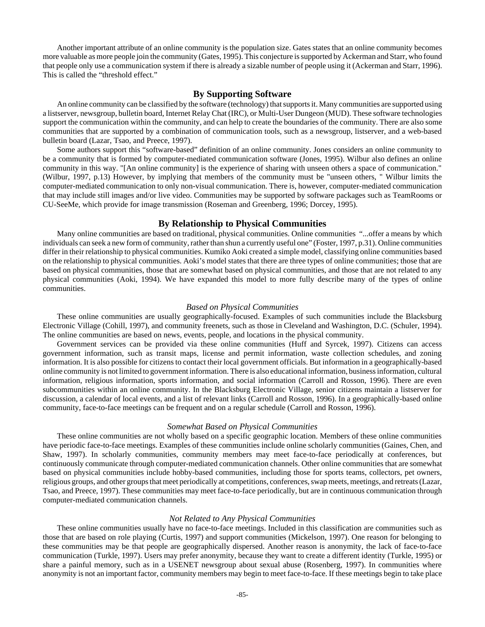Another important attribute of an online community is the population size. Gates states that an online community becomes more valuable as more people join the community (Gates, 1995). This conjecture is supported by Ackerman and Starr, who found that people only use a communication system if there is already a sizable number of people using it (Ackerman and Starr, 1996). This is called the "threshold effect."

### **By Supporting Software**

An online community can be classified by the software (technology) that supports it. Many communities are supported using a listserver, newsgroup, bulletin board, Internet Relay Chat (IRC), or Multi-User Dungeon (MUD). These software technologies support the communication within the community, and can help to create the boundaries of the community. There are also some communities that are supported by a combination of communication tools, such as a newsgroup, listserver, and a web-based bulletin board (Lazar, Tsao, and Preece, 1997).

Some authors support this "software-based" definition of an online community. Jones considers an online community to be a community that is formed by computer-mediated communication software (Jones, 1995). Wilbur also defines an online community in this way. "[An online community] is the experience of sharing with unseen others a space of communication." (Wilbur, 1997, p.13) However, by implying that members of the community must be "unseen others, " Wilbur limits the computer-mediated communication to only non-visual communication. There is, however, computer-mediated communication that may include still images and/or live video. Communities may be supported by software packages such as TeamRooms or CU-SeeMe, which provide for image transmission (Roseman and Greenberg, 1996; Dorcey, 1995).

### **By Relationship to Physical Communities**

Many online communities are based on traditional, physical communities. Online communities "...offer a means by which individuals can seek a new form of community, rather than shun a currently useful one" (Foster, 1997, p.31). Online communities differ in their relationship to physical communities. Kumiko Aoki created a simple model, classifying online communities based on the relationship to physical communities. Aoki's model states that there are three types of online communities; those that are based on physical communities, those that are somewhat based on physical communities, and those that are not related to any physical communities (Aoki, 1994). We have expanded this model to more fully describe many of the types of online communities.

#### *Based on Physical Communities*

These online communities are usually geographically-focused. Examples of such communities include the Blacksburg Electronic Village (Cohill, 1997), and community freenets, such as those in Cleveland and Washington, D.C. (Schuler, 1994). The online communities are based on news, events, people, and locations in the physical community.

Government services can be provided via these online communities (Huff and Syrcek, 1997). Citizens can access government information, such as transit maps, license and permit information, waste collection schedules, and zoning information. It is also possible for citizens to contact their local government officials. But information in a geographically-based online community is not limited to government information. There is also educational information, business information, cultural information, religious information, sports information, and social information (Carroll and Rosson, 1996). There are even subcommunities within an online community. In the Blacksburg Electronic Village, senior citizens maintain a listserver for discussion, a calendar of local events, and a list of relevant links (Carroll and Rosson, 1996). In a geographically-based online community, face-to-face meetings can be frequent and on a regular schedule (Carroll and Rosson, 1996).

#### *Somewhat Based on Physical Communities*

These online communities are not wholly based on a specific geographic location. Members of these online communities have periodic face-to-face meetings. Examples of these communities include online scholarly communities (Gaines, Chen, and Shaw, 1997). In scholarly communities, community members may meet face-to-face periodically at conferences, but continuously communicate through computer-mediated communication channels. Other online communities that are somewhat based on physical communities include hobby-based communities, including those for sports teams, collectors, pet owners, religious groups, and other groups that meet periodically at competitions, conferences, swap meets, meetings, and retreats (Lazar, Tsao, and Preece, 1997). These communities may meet face-to-face periodically, but are in continuous communication through computer-mediated communication channels.

#### *Not Related to Any Physical Communities*

These online communities usually have no face-to-face meetings. Included in this classification are communities such as those that are based on role playing (Curtis, 1997) and support communities (Mickelson, 1997). One reason for belonging to these communities may be that people are geographically dispersed. Another reason is anonymity, the lack of face-to-face communication (Turkle, 1997). Users may prefer anonymity, because they want to create a different identity (Turkle, 1995) or share a painful memory, such as in a USENET newsgroup about sexual abuse (Rosenberg, 1997). In communities where anonymity is not an important factor, community members may begin to meet face-to-face. If these meetings begin to take place